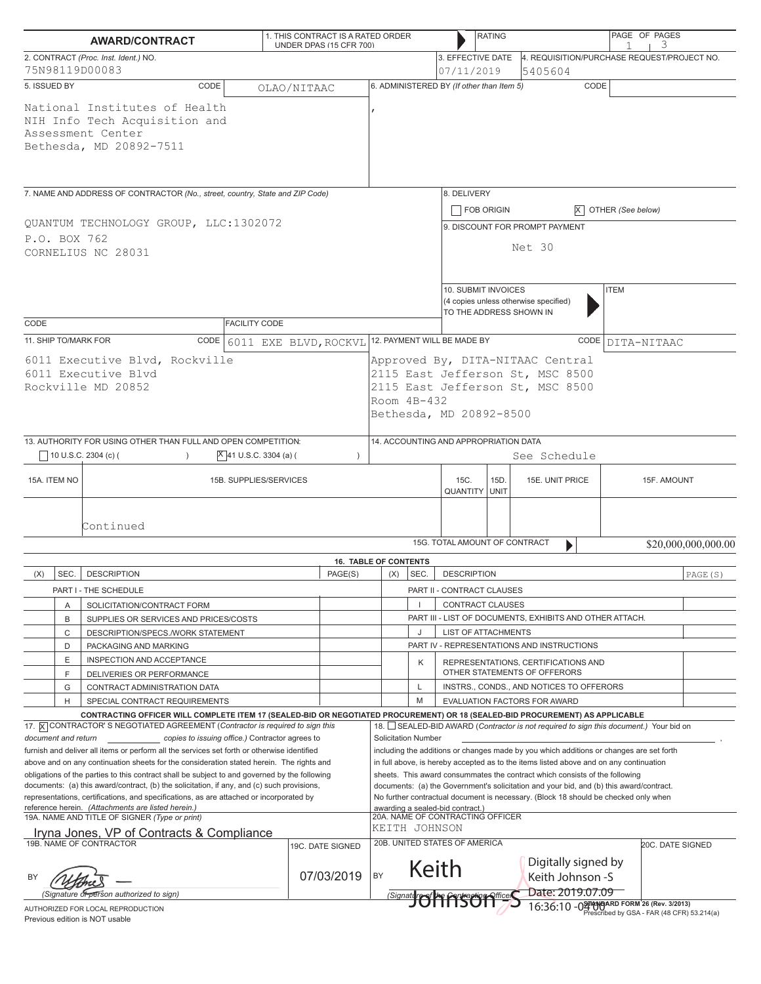|                                                                                                                                                                                                                                                                                                                                                                                                                                                                                                                                                                                                                                                                                                                 | <b>AWARD/CONTRACT</b>                                                                                                                                                                                         |                        | 1. THIS CONTRACT IS A RATED ORDER<br>UNDER DPAS (15 CFR 700) |                                                                                                                                                                                                                                                                                                                                                                                                                                                                                                                                                                           |                                                                                                                                                      |                                                                                                        | <b>RATING</b>                                                                           |                                                                                      | PAGE OF PAGES<br>З               |                     |  |
|-----------------------------------------------------------------------------------------------------------------------------------------------------------------------------------------------------------------------------------------------------------------------------------------------------------------------------------------------------------------------------------------------------------------------------------------------------------------------------------------------------------------------------------------------------------------------------------------------------------------------------------------------------------------------------------------------------------------|---------------------------------------------------------------------------------------------------------------------------------------------------------------------------------------------------------------|------------------------|--------------------------------------------------------------|---------------------------------------------------------------------------------------------------------------------------------------------------------------------------------------------------------------------------------------------------------------------------------------------------------------------------------------------------------------------------------------------------------------------------------------------------------------------------------------------------------------------------------------------------------------------------|------------------------------------------------------------------------------------------------------------------------------------------------------|--------------------------------------------------------------------------------------------------------|-----------------------------------------------------------------------------------------|--------------------------------------------------------------------------------------|----------------------------------|---------------------|--|
| 2. CONTRACT (Proc. Inst. Ident.) NO.<br>75N98119D00083                                                                                                                                                                                                                                                                                                                                                                                                                                                                                                                                                                                                                                                          |                                                                                                                                                                                                               |                        |                                                              |                                                                                                                                                                                                                                                                                                                                                                                                                                                                                                                                                                           |                                                                                                                                                      | 3. EFFECTIVE DATE<br>07/11/2019                                                                        |                                                                                         | 4. REQUISITION/PURCHASE REQUEST/PROJECT NO.<br>15405604                              |                                  |                     |  |
| 5. ISSUED BY                                                                                                                                                                                                                                                                                                                                                                                                                                                                                                                                                                                                                                                                                                    | CODE                                                                                                                                                                                                          |                        |                                                              |                                                                                                                                                                                                                                                                                                                                                                                                                                                                                                                                                                           |                                                                                                                                                      | 6. ADMINISTERED BY (If other than Item 5)                                                              |                                                                                         | CODE                                                                                 |                                  |                     |  |
| OLAO/NITAAC<br>National Institutes of Health<br>NIH Info Tech Acquisition and<br>Assessment Center<br>Bethesda, MD 20892-7511                                                                                                                                                                                                                                                                                                                                                                                                                                                                                                                                                                                   |                                                                                                                                                                                                               |                        |                                                              |                                                                                                                                                                                                                                                                                                                                                                                                                                                                                                                                                                           |                                                                                                                                                      |                                                                                                        |                                                                                         |                                                                                      |                                  |                     |  |
| 7. NAME AND ADDRESS OF CONTRACTOR (No., street, country, State and ZIP Code)                                                                                                                                                                                                                                                                                                                                                                                                                                                                                                                                                                                                                                    |                                                                                                                                                                                                               |                        |                                                              |                                                                                                                                                                                                                                                                                                                                                                                                                                                                                                                                                                           |                                                                                                                                                      | 8. DELIVERY<br>FOB ORIGIN                                                                              |                                                                                         |                                                                                      | $\overline{X}$ OTHER (See below) |                     |  |
| QUANTUM TECHNOLOGY GROUP, LLC:1302072<br>P.O. BOX 762<br>CORNELIUS NC 28031                                                                                                                                                                                                                                                                                                                                                                                                                                                                                                                                                                                                                                     |                                                                                                                                                                                                               |                        |                                                              |                                                                                                                                                                                                                                                                                                                                                                                                                                                                                                                                                                           |                                                                                                                                                      | 9. DISCOUNT FOR PROMPT PAYMENT<br>Net 30                                                               |                                                                                         |                                                                                      |                                  |                     |  |
|                                                                                                                                                                                                                                                                                                                                                                                                                                                                                                                                                                                                                                                                                                                 |                                                                                                                                                                                                               |                        |                                                              |                                                                                                                                                                                                                                                                                                                                                                                                                                                                                                                                                                           |                                                                                                                                                      | 10. SUBMIT INVOICES<br><b>ITEM</b><br>(4 copies unless otherwise specified)<br>TO THE ADDRESS SHOWN IN |                                                                                         |                                                                                      |                                  |                     |  |
| CODE<br>11. SHIP TO/MARK FOR                                                                                                                                                                                                                                                                                                                                                                                                                                                                                                                                                                                                                                                                                    |                                                                                                                                                                                                               | <b>FACILITY CODE</b>   |                                                              | 12. PAYMENT WILL BE MADE BY                                                                                                                                                                                                                                                                                                                                                                                                                                                                                                                                               |                                                                                                                                                      |                                                                                                        |                                                                                         |                                                                                      | CODE DITA-NITAAC                 |                     |  |
| CODE<br>6011 EXE BLVD, ROCKVL<br>6011 Executive Blvd, Rockville<br>6011 Executive Blyd<br>Rockville MD 20852                                                                                                                                                                                                                                                                                                                                                                                                                                                                                                                                                                                                    |                                                                                                                                                                                                               |                        |                                                              |                                                                                                                                                                                                                                                                                                                                                                                                                                                                                                                                                                           | Approved By, DITA-NITAAC Central<br>2115 East Jefferson St, MSC 8500<br>2115 East Jefferson St, MSC 8500<br>Room $4B-432$<br>Bethesda, MD 20892-8500 |                                                                                                        |                                                                                         |                                                                                      |                                  |                     |  |
|                                                                                                                                                                                                                                                                                                                                                                                                                                                                                                                                                                                                                                                                                                                 | 13. AUTHORITY FOR USING OTHER THAN FULL AND OPEN COMPETITION:                                                                                                                                                 |                        |                                                              |                                                                                                                                                                                                                                                                                                                                                                                                                                                                                                                                                                           |                                                                                                                                                      | 14. ACCOUNTING AND APPROPRIATION DATA                                                                  |                                                                                         |                                                                                      |                                  |                     |  |
|                                                                                                                                                                                                                                                                                                                                                                                                                                                                                                                                                                                                                                                                                                                 | 10 U.S.C. 2304 (c) (                                                                                                                                                                                          | X 41 U.S.C. 3304 (a) ( | $\lambda$                                                    |                                                                                                                                                                                                                                                                                                                                                                                                                                                                                                                                                                           |                                                                                                                                                      |                                                                                                        |                                                                                         | See Schedule                                                                         |                                  |                     |  |
| 15A. ITEM NO<br>15B. SUPPLIES/SERVICES                                                                                                                                                                                                                                                                                                                                                                                                                                                                                                                                                                                                                                                                          |                                                                                                                                                                                                               |                        |                                                              |                                                                                                                                                                                                                                                                                                                                                                                                                                                                                                                                                                           |                                                                                                                                                      | 15D.<br>15C.<br>15E. UNIT PRICE<br><b>QUANTITY UNIT</b>                                                |                                                                                         |                                                                                      |                                  | 15F. AMOUNT         |  |
|                                                                                                                                                                                                                                                                                                                                                                                                                                                                                                                                                                                                                                                                                                                 | Continued                                                                                                                                                                                                     |                        |                                                              |                                                                                                                                                                                                                                                                                                                                                                                                                                                                                                                                                                           |                                                                                                                                                      | 15G. TOTAL AMOUNT OF CONTRACT                                                                          |                                                                                         | $\blacktriangleright$                                                                |                                  | \$20,000,000,000.00 |  |
|                                                                                                                                                                                                                                                                                                                                                                                                                                                                                                                                                                                                                                                                                                                 |                                                                                                                                                                                                               |                        | <b>16. TABLE OF CONTENTS</b>                                 |                                                                                                                                                                                                                                                                                                                                                                                                                                                                                                                                                                           |                                                                                                                                                      |                                                                                                        |                                                                                         |                                                                                      |                                  |                     |  |
| (X)<br>SEC.                                                                                                                                                                                                                                                                                                                                                                                                                                                                                                                                                                                                                                                                                                     | <b>DESCRIPTION</b>                                                                                                                                                                                            |                        | PAGE(S)                                                      | (X)                                                                                                                                                                                                                                                                                                                                                                                                                                                                                                                                                                       | SEC.                                                                                                                                                 | <b>DESCRIPTION</b>                                                                                     |                                                                                         |                                                                                      |                                  | PAGE (S)            |  |
| Α                                                                                                                                                                                                                                                                                                                                                                                                                                                                                                                                                                                                                                                                                                               | PART I - THE SCHEDULE<br>SOLICITATION/CONTRACT FORM                                                                                                                                                           |                        |                                                              |                                                                                                                                                                                                                                                                                                                                                                                                                                                                                                                                                                           |                                                                                                                                                      | PART II - CONTRACT CLAUSES<br><b>CONTRACT CLAUSES</b>                                                  |                                                                                         |                                                                                      |                                  |                     |  |
| B                                                                                                                                                                                                                                                                                                                                                                                                                                                                                                                                                                                                                                                                                                               | SUPPLIES OR SERVICES AND PRICES/COSTS                                                                                                                                                                         |                        |                                                              |                                                                                                                                                                                                                                                                                                                                                                                                                                                                                                                                                                           |                                                                                                                                                      |                                                                                                        |                                                                                         | PART III - LIST OF DOCUMENTS, EXHIBITS AND OTHER ATTACH.                             |                                  |                     |  |
| C                                                                                                                                                                                                                                                                                                                                                                                                                                                                                                                                                                                                                                                                                                               | DESCRIPTION/SPECS./WORK STATEMENT                                                                                                                                                                             |                        |                                                              |                                                                                                                                                                                                                                                                                                                                                                                                                                                                                                                                                                           | J                                                                                                                                                    | <b>LIST OF ATTACHMENTS</b>                                                                             |                                                                                         |                                                                                      |                                  |                     |  |
| D                                                                                                                                                                                                                                                                                                                                                                                                                                                                                                                                                                                                                                                                                                               | PACKAGING AND MARKING                                                                                                                                                                                         |                        |                                                              |                                                                                                                                                                                                                                                                                                                                                                                                                                                                                                                                                                           |                                                                                                                                                      |                                                                                                        |                                                                                         | PART IV - REPRESENTATIONS AND INSTRUCTIONS                                           |                                  |                     |  |
| Ε<br>F                                                                                                                                                                                                                                                                                                                                                                                                                                                                                                                                                                                                                                                                                                          | INSPECTION AND ACCEPTANCE<br>DELIVERIES OR PERFORMANCE                                                                                                                                                        |                        |                                                              |                                                                                                                                                                                                                                                                                                                                                                                                                                                                                                                                                                           | Κ                                                                                                                                                    |                                                                                                        |                                                                                         | REPRESENTATIONS, CERTIFICATIONS AND<br>OTHER STATEMENTS OF OFFERORS                  |                                  |                     |  |
| G                                                                                                                                                                                                                                                                                                                                                                                                                                                                                                                                                                                                                                                                                                               | CONTRACT ADMINISTRATION DATA                                                                                                                                                                                  |                        |                                                              |                                                                                                                                                                                                                                                                                                                                                                                                                                                                                                                                                                           | L                                                                                                                                                    | INSTRS., CONDS., AND NOTICES TO OFFERORS                                                               |                                                                                         |                                                                                      |                                  |                     |  |
| H<br>SPECIAL CONTRACT REQUIREMENTS                                                                                                                                                                                                                                                                                                                                                                                                                                                                                                                                                                                                                                                                              |                                                                                                                                                                                                               |                        |                                                              |                                                                                                                                                                                                                                                                                                                                                                                                                                                                                                                                                                           | M                                                                                                                                                    | EVALUATION FACTORS FOR AWARD                                                                           |                                                                                         |                                                                                      |                                  |                     |  |
|                                                                                                                                                                                                                                                                                                                                                                                                                                                                                                                                                                                                                                                                                                                 | CONTRACTING OFFICER WILL COMPLETE ITEM 17 (SEALED-BID OR NEGOTIATED PROCUREMENT) OR 18 (SEALED-BID PROCUREMENT) AS APPLICABLE<br>17. X CONTRACTOR'S NEGOTIATED AGREEMENT (Contractor is required to sign this |                        |                                                              |                                                                                                                                                                                                                                                                                                                                                                                                                                                                                                                                                                           |                                                                                                                                                      |                                                                                                        |                                                                                         | 18. SEALED-BID AWARD (Contractor is not required to sign this document.) Your bid on |                                  |                     |  |
| document and return<br>copies to issuing office.) Contractor agrees to<br>furnish and deliver all items or perform all the services set forth or otherwise identified<br>above and on any continuation sheets for the consideration stated herein. The rights and<br>obligations of the parties to this contract shall be subject to and governed by the following<br>documents: (a) this award/contract, (b) the solicitation, if any, and (c) such provisions,<br>representations, certifications, and specifications, as are attached or incorporated by<br>reference herein. (Attachments are listed herein.)<br>19A. NAME AND TITLE OF SIGNER (Type or print)<br>Iryna Jones, VP of Contracts & Compliance |                                                                                                                                                                                                               |                        |                                                              | <b>Solicitation Number</b><br>including the additions or changes made by you which additions or changes are set forth<br>in full above, is hereby accepted as to the items listed above and on any continuation<br>sheets. This award consummates the contract which consists of the following<br>documents: (a) the Government's solicitation and your bid, and (b) this award/contract.<br>No further contractual document is necessary. (Block 18 should be checked only when<br>awarding a sealed-bid contract.)<br>20A. NAME OF CONTRACTING OFFICER<br>KEITH JOHNSON |                                                                                                                                                      |                                                                                                        |                                                                                         |                                                                                      |                                  |                     |  |
|                                                                                                                                                                                                                                                                                                                                                                                                                                                                                                                                                                                                                                                                                                                 | 19B. NAME OF CONTRACTOR                                                                                                                                                                                       |                        | 19C. DATE SIGNED                                             |                                                                                                                                                                                                                                                                                                                                                                                                                                                                                                                                                                           | Keith                                                                                                                                                | 20B. UNITED STATES OF AMERICA                                                                          |                                                                                         | Digitally signed by                                                                  | <b>20C. DATE SIGNED</b>          |                     |  |
| BY<br>(Signature of person authorized to sign)                                                                                                                                                                                                                                                                                                                                                                                                                                                                                                                                                                                                                                                                  |                                                                                                                                                                                                               |                        | 07/03/2019                                                   | BY                                                                                                                                                                                                                                                                                                                                                                                                                                                                                                                                                                        |                                                                                                                                                      |                                                                                                        |                                                                                         | Keith Johnson -S<br>Date: 2019.07.09                                                 |                                  |                     |  |
| AUTHORIZED FOR LOCAL REPRODUCTION                                                                                                                                                                                                                                                                                                                                                                                                                                                                                                                                                                                                                                                                               |                                                                                                                                                                                                               |                        |                                                              | (Signature of the Partner of Office S                                                                                                                                                                                                                                                                                                                                                                                                                                                                                                                                     |                                                                                                                                                      |                                                                                                        | 16:36:10 - 02 MOMBARD FORM 26 (Rev. 3/2013)<br>escribed by GSA - FAR (48 CFR) 53.214(a) |                                                                                      |                                  |                     |  |

Previous edition is NOT usable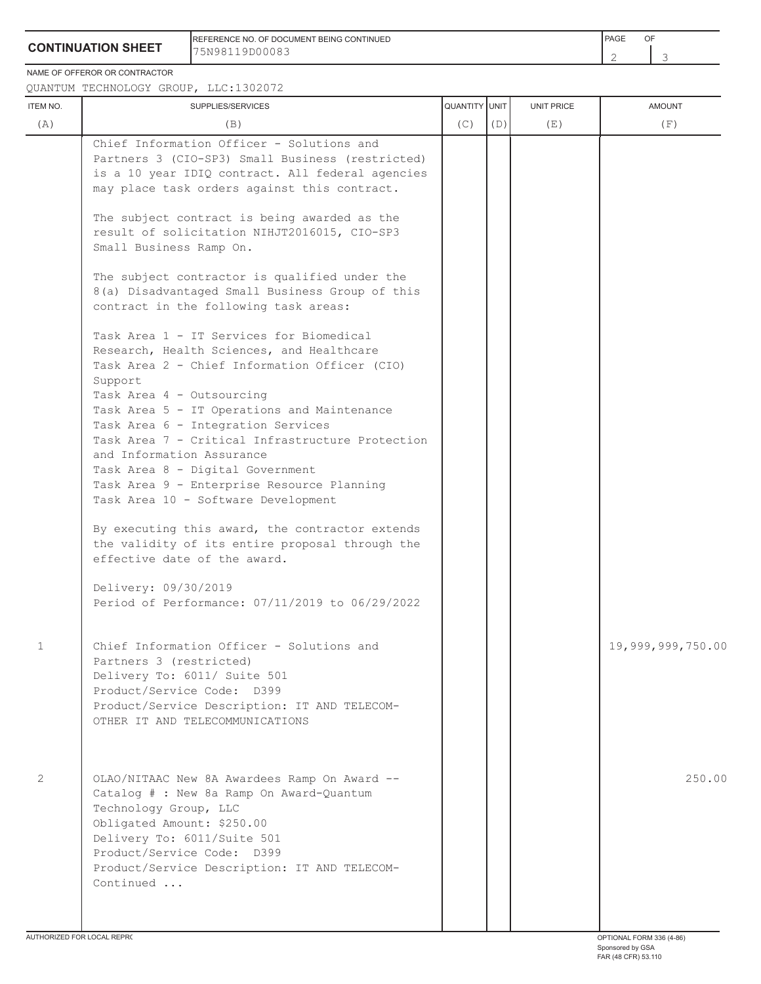## **CONTINUATION SHEET**

REFERENCE NO. OF DOCUMENT BEING CONTINUED 75N98119D00083

 $\mathfrak{Z}$ 

NAME OF OFFEROR OR CONTRACTOR

QUANTUM TECHNOLOGY GROUP, LLC:1302072

| ITEM NO.       | SUPPLIES/SERVICES                                                                                                                                                                                                                                                                                                                                                                                                                                                                                                                                                                                                                                                                                                                                                                                                                                                                                                                                                                                                                                                                                | QUANTITY UNIT |     | <b>UNIT PRICE</b> | <b>AMOUNT</b>     |
|----------------|--------------------------------------------------------------------------------------------------------------------------------------------------------------------------------------------------------------------------------------------------------------------------------------------------------------------------------------------------------------------------------------------------------------------------------------------------------------------------------------------------------------------------------------------------------------------------------------------------------------------------------------------------------------------------------------------------------------------------------------------------------------------------------------------------------------------------------------------------------------------------------------------------------------------------------------------------------------------------------------------------------------------------------------------------------------------------------------------------|---------------|-----|-------------------|-------------------|
| (A)            | (B)                                                                                                                                                                                                                                                                                                                                                                                                                                                                                                                                                                                                                                                                                                                                                                                                                                                                                                                                                                                                                                                                                              | (C)           | (D) | (E)               | (F)               |
|                | Chief Information Officer - Solutions and<br>Partners 3 (CIO-SP3) Small Business (restricted)<br>is a 10 year IDIQ contract. All federal agencies<br>may place task orders against this contract.<br>The subject contract is being awarded as the<br>result of solicitation NIHJT2016015, CIO-SP3<br>Small Business Ramp On.<br>The subject contractor is qualified under the<br>8(a) Disadvantaged Small Business Group of this<br>contract in the following task areas:<br>Task Area 1 - IT Services for Biomedical<br>Research, Health Sciences, and Healthcare<br>Task Area 2 - Chief Information Officer (CIO)<br>Support<br>Task Area 4 - Outsourcing<br>Task Area 5 - IT Operations and Maintenance<br>Task Area 6 - Integration Services<br>Task Area 7 - Critical Infrastructure Protection<br>and Information Assurance<br>Task Area 8 - Digital Government<br>Task Area 9 - Enterprise Resource Planning<br>Task Area 10 - Software Development<br>By executing this award, the contractor extends<br>the validity of its entire proposal through the<br>effective date of the award. |               |     |                   |                   |
|                | Delivery: 09/30/2019<br>Period of Performance: 07/11/2019 to 06/29/2022                                                                                                                                                                                                                                                                                                                                                                                                                                                                                                                                                                                                                                                                                                                                                                                                                                                                                                                                                                                                                          |               |     |                   |                   |
| 1              | Chief Information Officer - Solutions and<br>Partners 3 (restricted)<br>Delivery To: 6011/ Suite 501<br>Product/Service Code: D399<br>Product/Service Description: IT AND TELECOM-<br>OTHER IT AND TELECOMMUNICATIONS                                                                                                                                                                                                                                                                                                                                                                                                                                                                                                                                                                                                                                                                                                                                                                                                                                                                            |               |     |                   | 19,999,999,750.00 |
| $\overline{2}$ | OLAO/NITAAC New 8A Awardees Ramp On Award --<br>Catalog # : New 8a Ramp On Award-Quantum<br>Technology Group, LLC<br>Obligated Amount: \$250.00<br>Delivery To: 6011/Suite 501<br>Product/Service Code: D399<br>Product/Service Description: IT AND TELECOM-<br>Continued                                                                                                                                                                                                                                                                                                                                                                                                                                                                                                                                                                                                                                                                                                                                                                                                                        |               |     |                   | 250.00            |